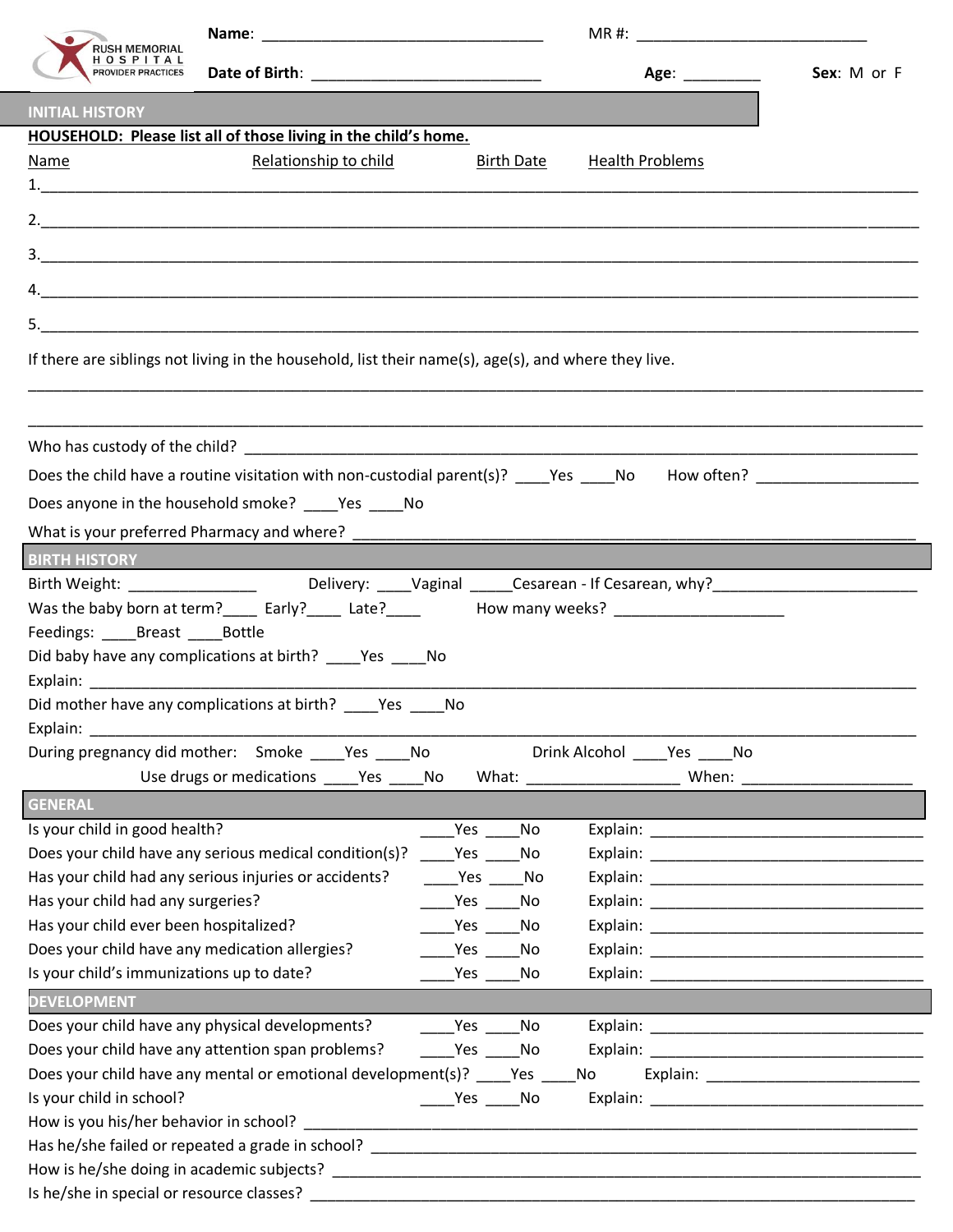| RUSH MEMORIAL<br>H O S P I T A L<br>PROVIDER PRACTICES                                                                                                                                                                         |                                                                                                                                         |                                                                                                                                                                                                                                |     |                        | Age: _________       | Sex: M or F |  |
|--------------------------------------------------------------------------------------------------------------------------------------------------------------------------------------------------------------------------------|-----------------------------------------------------------------------------------------------------------------------------------------|--------------------------------------------------------------------------------------------------------------------------------------------------------------------------------------------------------------------------------|-----|------------------------|----------------------|-------------|--|
| <b>INITIAL HISTORY</b>                                                                                                                                                                                                         |                                                                                                                                         |                                                                                                                                                                                                                                |     |                        |                      |             |  |
|                                                                                                                                                                                                                                | HOUSEHOLD: Please list all of those living in the child's home.                                                                         |                                                                                                                                                                                                                                |     |                        |                      |             |  |
| Name                                                                                                                                                                                                                           | Relationship to child                                                                                                                   | <b>Birth Date</b>                                                                                                                                                                                                              |     | <b>Health Problems</b> |                      |             |  |
|                                                                                                                                                                                                                                |                                                                                                                                         |                                                                                                                                                                                                                                |     |                        |                      |             |  |
|                                                                                                                                                                                                                                |                                                                                                                                         |                                                                                                                                                                                                                                |     |                        |                      |             |  |
|                                                                                                                                                                                                                                |                                                                                                                                         |                                                                                                                                                                                                                                |     |                        |                      |             |  |
|                                                                                                                                                                                                                                |                                                                                                                                         |                                                                                                                                                                                                                                |     |                        |                      |             |  |
|                                                                                                                                                                                                                                |                                                                                                                                         |                                                                                                                                                                                                                                |     |                        |                      |             |  |
|                                                                                                                                                                                                                                | If there are siblings not living in the household, list their name(s), age(s), and where they live.                                     |                                                                                                                                                                                                                                |     |                        |                      |             |  |
|                                                                                                                                                                                                                                |                                                                                                                                         |                                                                                                                                                                                                                                |     |                        |                      |             |  |
|                                                                                                                                                                                                                                |                                                                                                                                         |                                                                                                                                                                                                                                |     |                        |                      |             |  |
|                                                                                                                                                                                                                                |                                                                                                                                         |                                                                                                                                                                                                                                |     |                        |                      |             |  |
|                                                                                                                                                                                                                                | Does the child have a routine visitation with non-custodial parent(s)? Yes No How often?                                                |                                                                                                                                                                                                                                |     |                        |                      |             |  |
|                                                                                                                                                                                                                                | Does anyone in the household smoke? ____Yes ____No                                                                                      |                                                                                                                                                                                                                                |     |                        |                      |             |  |
|                                                                                                                                                                                                                                |                                                                                                                                         |                                                                                                                                                                                                                                |     |                        |                      |             |  |
| BIRTH HISTORY <b>AND READ PROPERTY</b>                                                                                                                                                                                         |                                                                                                                                         |                                                                                                                                                                                                                                |     |                        |                      |             |  |
|                                                                                                                                                                                                                                | Birth Weight: _____________________________Delivery: _____Vaginal ______Cesarean - If Cesarean, why?___________________________________ |                                                                                                                                                                                                                                |     |                        |                      |             |  |
|                                                                                                                                                                                                                                | Was the baby born at term?_____ Early?_____ Late?_____ How many weeks? ____________________________                                     |                                                                                                                                                                                                                                |     |                        |                      |             |  |
| Feedings: _____Breast _____Bottle                                                                                                                                                                                              |                                                                                                                                         |                                                                                                                                                                                                                                |     |                        |                      |             |  |
|                                                                                                                                                                                                                                | Did baby have any complications at birth? _____Yes ______No                                                                             |                                                                                                                                                                                                                                |     |                        |                      |             |  |
| Explain: The contract of the contract of the contract of the contract of the contract of the contract of the contract of the contract of the contract of the contract of the contract of the contract of the contract of the c |                                                                                                                                         |                                                                                                                                                                                                                                |     |                        |                      |             |  |
|                                                                                                                                                                                                                                | Did mother have any complications at birth? ______ Yes ______ No                                                                        |                                                                                                                                                                                                                                |     |                        |                      |             |  |
| Explain:                                                                                                                                                                                                                       |                                                                                                                                         |                                                                                                                                                                                                                                |     |                        |                      |             |  |
|                                                                                                                                                                                                                                | During pregnancy did mother: Smoke _____ Yes _____ No                                                                                   |                                                                                                                                                                                                                                |     |                        | Drink Alcohol Yes No |             |  |
|                                                                                                                                                                                                                                | Use drugs or medications _____ Yes _____ No                                                                                             |                                                                                                                                                                                                                                |     |                        |                      |             |  |
| <b>GENERAL</b>                                                                                                                                                                                                                 |                                                                                                                                         |                                                                                                                                                                                                                                |     |                        |                      |             |  |
| Is your child in good health?                                                                                                                                                                                                  |                                                                                                                                         | __Yes _____No                                                                                                                                                                                                                  |     |                        |                      |             |  |
|                                                                                                                                                                                                                                | Does your child have any serious medical condition(s)?                                                                                  | No Ves                                                                                                                                                                                                                         |     |                        |                      |             |  |
|                                                                                                                                                                                                                                | Has your child had any serious injuries or accidents?                                                                                   | No Ves No                                                                                                                                                                                                                      |     |                        |                      |             |  |
| Has your child had any surgeries?                                                                                                                                                                                              |                                                                                                                                         | Yes                                                                                                                                                                                                                            | No. |                        |                      |             |  |
| Has your child ever been hospitalized?                                                                                                                                                                                         |                                                                                                                                         | Yes The Management of the Management of the Second Second Second Second Second Second Second Second Second Second Second Second Second Second Second Second Second Second Second Second Second Second Second Second Second Sec | No  |                        |                      |             |  |
| Does your child have any medication allergies?                                                                                                                                                                                 |                                                                                                                                         | Yes Management Street Street Street Street Street Street Street Street Street Street Street Street S                                                                                                                           | No  |                        |                      |             |  |
| Is your child's immunizations up to date?                                                                                                                                                                                      |                                                                                                                                         | _____Yes ______No                                                                                                                                                                                                              |     |                        |                      |             |  |
| <b>DEVELOPMENT</b>                                                                                                                                                                                                             |                                                                                                                                         |                                                                                                                                                                                                                                |     |                        |                      |             |  |
|                                                                                                                                                                                                                                | Does your child have any physical developments?                                                                                         | No Ves No                                                                                                                                                                                                                      |     |                        |                      |             |  |
|                                                                                                                                                                                                                                | Does your child have any attention span problems?                                                                                       | $\rule{1em}{0.15mm}$ $\frac{\text{Yes}}{\text{Yes}}$ No                                                                                                                                                                        |     |                        |                      |             |  |
| Does your child have any mental or emotional development(s)? ______ Yes ______ No                                                                                                                                              |                                                                                                                                         |                                                                                                                                                                                                                                |     |                        |                      |             |  |
| Is your child in school?                                                                                                                                                                                                       |                                                                                                                                         |                                                                                                                                                                                                                                |     |                        |                      |             |  |
|                                                                                                                                                                                                                                |                                                                                                                                         |                                                                                                                                                                                                                                |     |                        |                      |             |  |
|                                                                                                                                                                                                                                |                                                                                                                                         |                                                                                                                                                                                                                                |     |                        |                      |             |  |
|                                                                                                                                                                                                                                |                                                                                                                                         |                                                                                                                                                                                                                                |     |                        |                      |             |  |
|                                                                                                                                                                                                                                |                                                                                                                                         |                                                                                                                                                                                                                                |     |                        |                      |             |  |